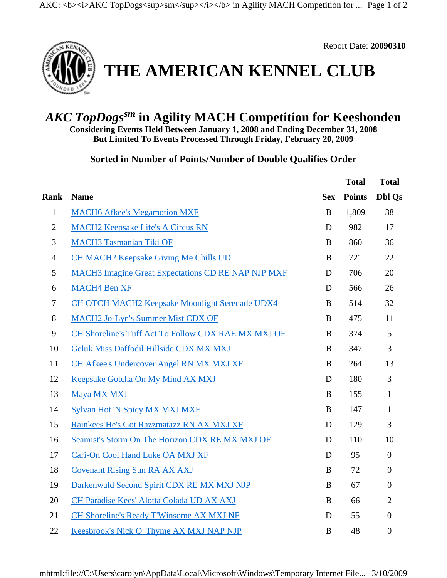

Report Date: **20090310**

## **THE AMERICAN KENNEL CLUB**

## *AKC TopDogssm* **in Agility MACH Competition for Keeshonden**

**Considering Events Held Between January 1, 2008 and Ending December 31, 2008 But Limited To Events Processed Through Friday, February 20, 2009**

**Sorted in Number of Points/Number of Double Qualifies Order** 

|                |                                                           |            | <b>Total</b>  | <b>Total</b>     |
|----------------|-----------------------------------------------------------|------------|---------------|------------------|
| <b>Rank</b>    | <b>Name</b>                                               | <b>Sex</b> | <b>Points</b> | <b>Dbl Qs</b>    |
| $\mathbf{1}$   | <b>MACH6 Afkee's Megamotion MXF</b>                       | $\bf{B}$   | 1,809         | 38               |
| $\mathbf{2}$   | <b>MACH2 Keepsake Life's A Circus RN</b>                  | D          | 982           | 17               |
| 3              | <b>MACH3 Tasmanian Tiki OF</b>                            | $\bf{B}$   | 860           | 36               |
| $\overline{4}$ | <b>CH MACH2 Keepsake Giving Me Chills UD</b>              | $\bf{B}$   | 721           | 22               |
| 5              | <b>MACH3</b> Imagine Great Expectations CD RE NAP NJP MXF | D          | 706           | 20               |
| 6              | <b>MACH4 Ben XF</b>                                       | D          | 566           | 26               |
| $\tau$         | <b>CH OTCH MACH2 Keepsake Moonlight Serenade UDX4</b>     | B          | 514           | 32               |
| 8              | <b>MACH2 Jo-Lyn's Summer Mist CDX OF</b>                  | $\bf{B}$   | 475           | 11               |
| $\mathbf{9}$   | CH Shoreline's Tuff Act To Follow CDX RAE MX MXJ OF       | $\bf{B}$   | 374           | 5                |
| 10             | Geluk Miss Daffodil Hillside CDX MX MXJ                   | B          | 347           | 3                |
| 11             | CH Afkee's Undercover Angel RN MX MXJ XF                  | B          | 264           | 13               |
| 12             | Keepsake Gotcha On My Mind AX MXJ                         | D          | 180           | 3                |
| 13             | Maya MX MXJ                                               | B          | 155           | $\mathbf{1}$     |
| 14             | <b>Sylvan Hot 'N Spicy MX MXJ MXF</b>                     | $\bf{B}$   | 147           | $\mathbf{1}$     |
| 15             | Rainkees He's Got Razzmatazz RN AX MXJ XF                 | D          | 129           | 3                |
| 16             | Seamist's Storm On The Horizon CDX RE MX MXJ OF           | D          | 110           | 10               |
| 17             | Cari-On Cool Hand Luke OA MXJ XF                          | D          | 95            | $\mathbf{0}$     |
| 18             | <b>Covenant Rising Sun RA AX AXJ</b>                      | $\bf{B}$   | 72            | $\overline{0}$   |
| 19             | Darkenwald Second Spirit CDX RE MX MXJ NJP                | $\bf{B}$   | 67            | $\boldsymbol{0}$ |
| 20             | CH Paradise Kees' Alotta Colada UD AX AXJ                 | B          | 66            | $\overline{2}$   |
| 21             | <b>CH Shoreline's Ready T'Winsome AX MXJ NF</b>           | D          | 55            | $\overline{0}$   |
| 22             | Keesbrook's Nick O 'Thyme AX MXJ NAP NJP                  | B          | 48            | $\overline{0}$   |